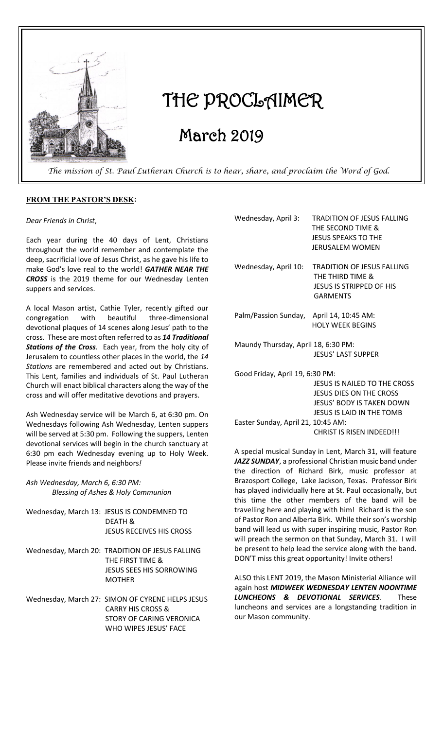

# THE PROCLAIMER

# March 2019

 *The mission of St. Paul Lutheran Church is to hear, share, and proclaim the Word of God.* 

#### **FROM THE PASTOR'S DESK**:

*Dear Friends in Christ*,

Each year during the 40 days of Lent, Christians throughout the world remember and contemplate the deep, sacrificial love of Jesus Christ, as he gave his life to make God's love real to the world! *GATHER NEAR THE CROSS* is the 2019 theme for our Wednesday Lenten suppers and services.

A local Mason artist, Cathie Tyler, recently gifted our congregation with beautiful three-dimensional devotional plaques of 14 scenes along Jesus' path to the cross. These are most often referred to as *14 Traditional Stations of the Cross*. Each year, from the holy city of Jerusalem to countless other places in the world, the *14 Stations* are remembered and acted out by Christians. This Lent, families and individuals of St. Paul Lutheran Church will enact biblical characters along the way of the cross and will offer meditative devotions and prayers.

Ash Wednesday service will be March 6, at 6:30 pm. On Wednesdays following Ash Wednesday, Lenten suppers will be served at 5:30 pm. Following the suppers, Lenten devotional services will begin in the church sanctuary at 6:30 pm each Wednesday evening up to Holy Week. Please invite friends and neighbors*!*

#### *Ash Wednesday, March 6, 6:30 PM: Blessing of Ashes & Holy Communion*

| Wednesday, March 13: JESUS IS CONDEMNED TO<br><b>DEATH &amp;</b><br><b>JESUS RECEIVES HIS CROSS</b>              |
|------------------------------------------------------------------------------------------------------------------|
| Wednesday, March 20: TRADITION OF JESUS FALLING<br>THE FIRST TIME &<br>JESUS SEES HIS SORROWING<br><b>MOTHER</b> |
| Wednesday, March 27: SIMON OF CYRENE HELPS JESUS<br><b>CARRY HIS CROSS &amp;</b>                                 |

 STORY OF CARING VERONICA WHO WIPES JESUS' FACE

| Wednesday, April 3:                      | <b>TRADITION OF JESUS FALLING</b><br>THE SECOND TIME &<br><b>JESUS SPEAKS TO THE</b><br>JERUSALEM WOMEN |
|------------------------------------------|---------------------------------------------------------------------------------------------------------|
| Wednesday, April 10:                     | <b>TRADITION OF JESUS FALLING</b><br>THE THIRD TIME &<br>JESUS IS STRIPPED OF HIS<br><b>GARMENTS</b>    |
| Palm/Passion Sunday, April 14, 10:45 AM: | <b>HOLY WEEK BEGINS</b>                                                                                 |
| Maundy Thursday, April 18, 6:30 PM:      | <b>JESUS' LAST SUPPER</b>                                                                               |
| Good Friday, April 19, 6:30 PM:          |                                                                                                         |

 JESUS IS NAILED TO THE CROSS JESUS DIES ON THE CROSS JESUS' BODY IS TAKEN DOWN JESUS IS LAID IN THE TOMB Easter Sunday, April 21, 10:45 AM: CHRIST IS RISEN INDEED!!!

A special musical Sunday in Lent, March 31, will feature *JAZZ SUNDAY*, a professional Christian music band under the direction of Richard Birk, music professor at Brazosport College, Lake Jackson, Texas. Professor Birk has played individually here at St. Paul occasionally, but this time the other members of the band will be travelling here and playing with him! Richard is the son of Pastor Ron and Alberta Birk. While their son's worship band will lead us with super inspiring music, Pastor Ron will preach the sermon on that Sunday, March 31. I will be present to help lead the service along with the band. DON'T miss this great opportunity! Invite others!

ALSO this LENT 2019, the Mason Ministerial Alliance will again host *MIDWEEK WEDNESDAY LENTEN NOONTIME LUNCHEONS & DEVOTIONAL SERVICES*. These luncheons and services are a longstanding tradition in our Mason community.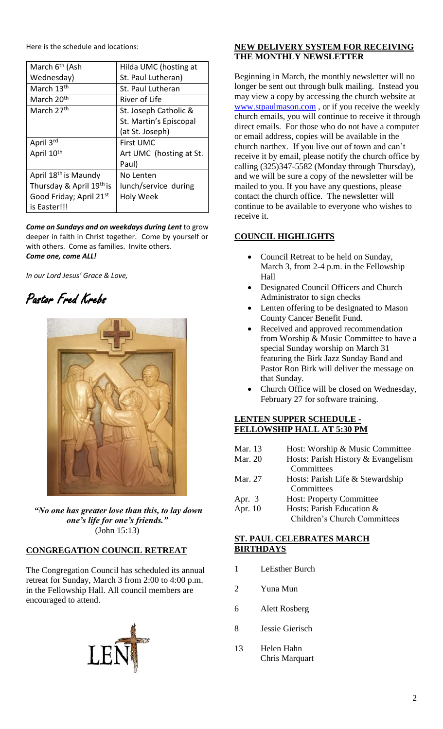Here is the schedule and locations:

| March 6 <sup>th</sup> (Ash       | Hilda UMC (hosting at   |
|----------------------------------|-------------------------|
| Wednesday)                       | St. Paul Lutheran)      |
| March 13 <sup>th</sup>           | St. Paul Lutheran       |
| March 20 <sup>th</sup>           | River of Life           |
| March 27 <sup>th</sup>           | St. Joseph Catholic &   |
|                                  | St. Martin's Episcopal  |
|                                  | (at St. Joseph)         |
| April 3rd                        | <b>First UMC</b>        |
| April 10 <sup>th</sup>           | Art UMC (hosting at St. |
|                                  | Paul)                   |
| April 18 <sup>th</sup> is Maundy | No Lenten               |
| Thursday & April 19th is         | lunch/service during    |
| Good Friday; April 21st          | <b>Holy Week</b>        |
| is Easter!!!                     |                         |

*Come on Sundays and on weekdays during Lent* to grow deeper in faith in Christ together. Come by yourself or with others. Come as families. Invite others. *Come one, come ALL!*

*In our Lord Jesus' Grace & Love,*





*"No one has greater love than this, to lay down one's life for one's friends."* (John 15:13)

# **CONGREGATION COUNCIL RETREAT**

The Congregation Council has scheduled its annual retreat for Sunday, March 3 from 2:00 to 4:00 p.m. in the Fellowship Hall. All council members are encouraged to attend.



# **NEW DELIVERY SYSTEM FOR RECEIVING THE MONTHLY NEWSLETTER**

Beginning in March, the monthly newsletter will no longer be sent out through bulk mailing. Instead you may view a copy by accessing the church website at [www.stpaulmason.com](http://www.stpaulmason.com/) , or if you receive the weekly church emails, you will continue to receive it through direct emails. For those who do not have a computer or email address, copies will be available in the church narthex. If you live out of town and can't receive it by email, please notify the church office by calling (325)347-5582 (Monday through Thursday), and we will be sure a copy of the newsletter will be mailed to you. If you have any questions, please contact the church office. The newsletter will continue to be available to everyone who wishes to receive it.

### **COUNCIL HIGHLIGHTS**

- Council Retreat to be held on Sunday, March 3, from 2-4 p.m. in the Fellowship Hall
- Designated Council Officers and Church Administrator to sign checks
- Lenten offering to be designated to Mason County Cancer Benefit Fund.
- Received and approved recommendation from Worship & Music Committee to have a special Sunday worship on March 31 featuring the Birk Jazz Sunday Band and Pastor Ron Birk will deliver the message on that Sunday.
- Church Office will be closed on Wednesday, February 27 for software training.

#### **LENTEN SUPPER SCHEDULE - FELLOWSHIP HALL AT 5:30 PM**

Mar. 13 Host: Worship & Music Committee Mar. 20 Hosts: Parish History & Evangelism **Committees** Mar. 27 Hosts: Parish Life & Stewardship **Committees** Apr. 3 Host: Property Committee Apr. 10 Hosts: Parish Education & Children's Church Committees

#### **ST. PAUL CELEBRATES MARCH BIRTHDAYS**

- 1 LeEsther Burch
- 2 Yuna Mun
- 6 Alett Rosberg
- 8 Jessie Gierisch
- 13 Helen Hahn Chris Marquart